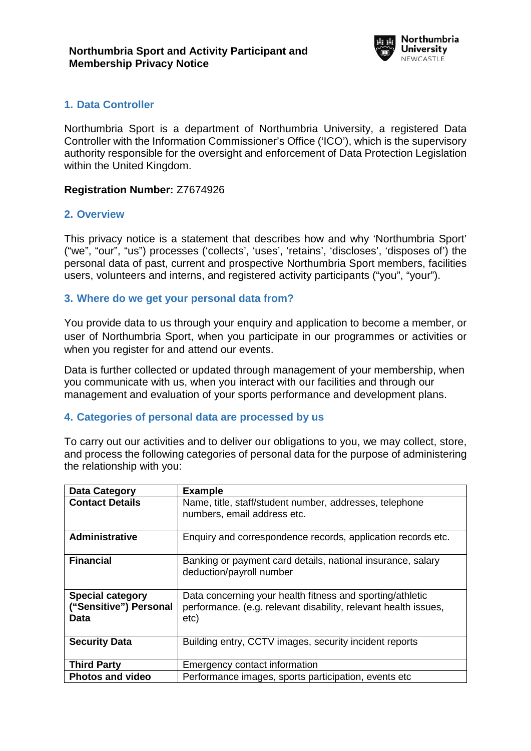

## **1. Data Controller**

Northumbria Sport is a department of Northumbria University, a registered Data Controller with the Information Commissioner's Office ('ICO'), which is the supervisory authority responsible for the oversight and enforcement of Data Protection Legislation within the United Kingdom.

#### **Registration Number:** Z7674926

### **2. Overview**

This privacy notice is a statement that describes how and why 'Northumbria Sport' ("we", "our", "us") processes ('collects', 'uses', 'retains', 'discloses', 'disposes of') the personal data of past, current and prospective Northumbria Sport members, facilities users, volunteers and interns, and registered activity participants ("you", "your").

#### **3. Where do we get your personal data from?**

You provide data to us through your enquiry and application to become a member, or user of Northumbria Sport, when you participate in our programmes or activities or when you register for and attend our events.

Data is further collected or updated through management of your membership, when you communicate with us, when you interact with our facilities and through our management and evaluation of your sports performance and development plans.

### **4. Categories of personal data are processed by us**

To carry out our activities and to deliver our obligations to you, we may collect, store, and process the following categories of personal data for the purpose of administering the relationship with you:

| Data Category                                             | <b>Example</b>                                                                                                                       |
|-----------------------------------------------------------|--------------------------------------------------------------------------------------------------------------------------------------|
| <b>Contact Details</b>                                    | Name, title, staff/student number, addresses, telephone<br>numbers, email address etc.                                               |
| <b>Administrative</b>                                     | Enquiry and correspondence records, application records etc.                                                                         |
| <b>Financial</b>                                          | Banking or payment card details, national insurance, salary<br>deduction/payroll number                                              |
| <b>Special category</b><br>("Sensitive") Personal<br>Data | Data concerning your health fitness and sporting/athletic<br>performance. (e.g. relevant disability, relevant health issues,<br>etc) |
| <b>Security Data</b>                                      | Building entry, CCTV images, security incident reports                                                                               |
| <b>Third Party</b>                                        | Emergency contact information                                                                                                        |
| <b>Photos and video</b>                                   | Performance images, sports participation, events etc.                                                                                |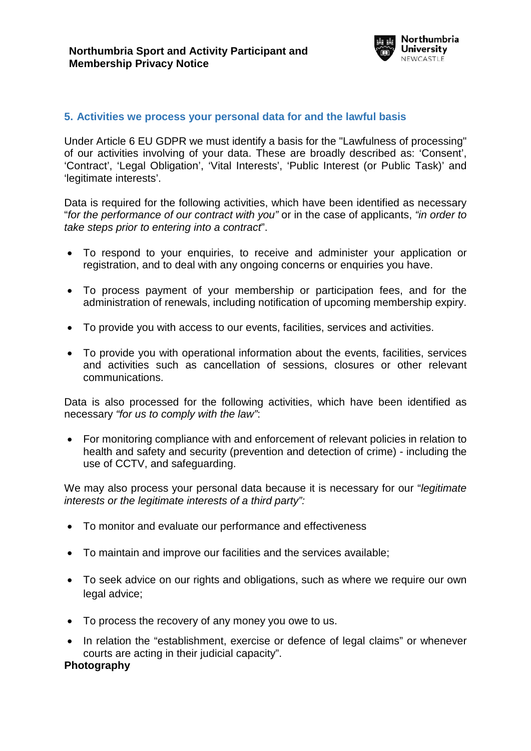

### **5. Activities we process your personal data for and the lawful basis**

Under Article 6 EU GDPR we must identify a basis for the "Lawfulness of processing" of our activities involving of your data. These are broadly described as: 'Consent', 'Contract', 'Legal Obligation', 'Vital Interests', 'Public Interest (or Public Task)' and 'legitimate interests'.

Data is required for the following activities, which have been identified as necessary "*for the performance of our contract with you"* or in the case of applicants, *"in order to take steps prior to entering into a contract*".

- To respond to your enquiries, to receive and administer your application or registration, and to deal with any ongoing concerns or enquiries you have.
- To process payment of your membership or participation fees, and for the administration of renewals, including notification of upcoming membership expiry.
- To provide you with access to our events, facilities, services and activities.
- To provide you with operational information about the events, facilities, services and activities such as cancellation of sessions, closures or other relevant communications.

Data is also processed for the following activities, which have been identified as necessary *"for us to comply with the law"*:

• For monitoring compliance with and enforcement of relevant policies in relation to health and safety and security (prevention and detection of crime) - including the use of CCTV, and safeguarding.

We may also process your personal data because it is necessary for our "*legitimate interests or the legitimate interests of a third party":*

- To monitor and evaluate our performance and effectiveness
- To maintain and improve our facilities and the services available;
- To seek advice on our rights and obligations, such as where we require our own legal advice;
- To process the recovery of any money you owe to us.
- In relation the "establishment, exercise or defence of legal claims" or whenever courts are acting in their judicial capacity".

### **Photography**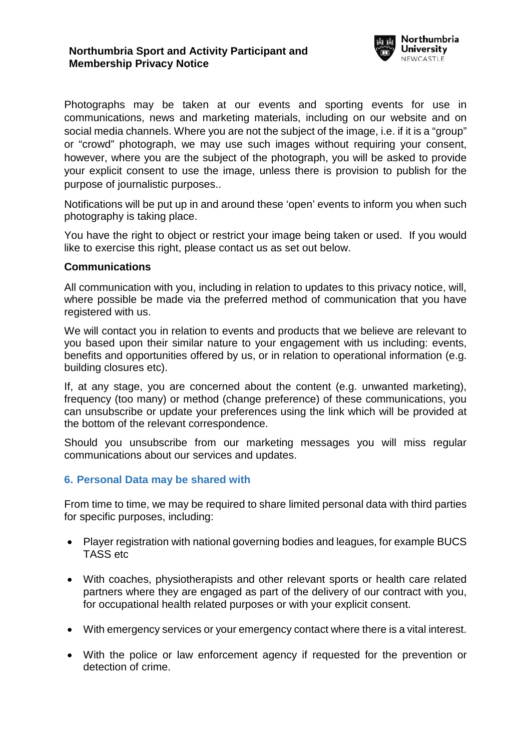

Photographs may be taken at our events and sporting events for use in communications, news and marketing materials, including on our website and on social media channels. Where you are not the subject of the image, i.e. if it is a "group" or "crowd" photograph, we may use such images without requiring your consent, however, where you are the subject of the photograph, you will be asked to provide your explicit consent to use the image, unless there is provision to publish for the purpose of journalistic purposes..

Notifications will be put up in and around these 'open' events to inform you when such photography is taking place.

You have the right to object or restrict your image being taken or used. If you would like to exercise this right, please contact us as set out below.

### <span id="page-2-0"></span>**Communications**

All communication with you, including in relation to updates to this privacy notice, will, where possible be made via the preferred method of communication that you have registered with us.

We will contact you in relation to events and products that we believe are relevant to you based upon their similar nature to your engagement with us including: events, benefits and opportunities offered by us, or in relation to operational information (e.g. building closures etc).

If, at any stage, you are concerned about the content (e.g. unwanted marketing), frequency (too many) or method (change preference) of these communications, you can unsubscribe or update your preferences using the link which will be provided at the bottom of the relevant correspondence.

Should you unsubscribe from our marketing messages you will miss regular communications about our services and updates.

### **6. Personal Data may be shared with**

From time to time, we may be required to share limited personal data with third parties for specific purposes, including:

- Player registration with national governing bodies and leagues, for example BUCS TASS etc
- With coaches, physiotherapists and other relevant sports or health care related partners where they are engaged as part of the delivery of our contract with you, for occupational health related purposes or with your explicit consent.
- With emergency services or your emergency contact where there is a vital interest.
- With the police or law enforcement agency if requested for the prevention or detection of crime.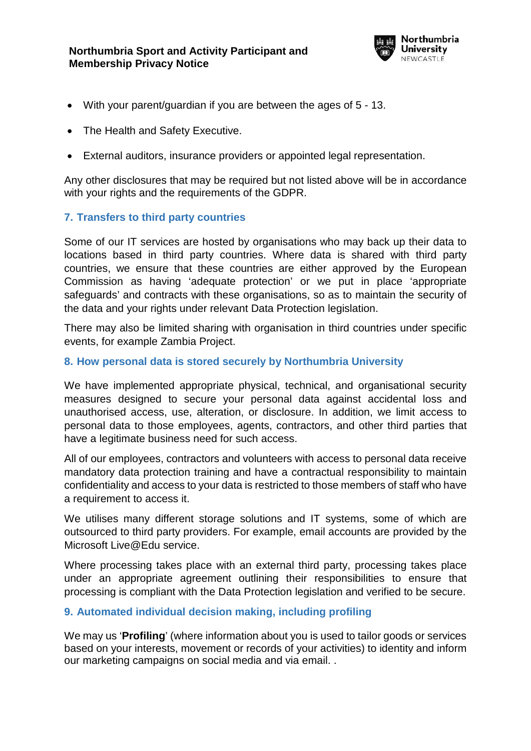

- With your parent/guardian if you are between the ages of 5 13.
- The Health and Safety Executive.
- External auditors, insurance providers or appointed legal representation.

Any other disclosures that may be required but not listed above will be in accordance with your rights and the requirements of the GDPR.

## **7. Transfers to third party countries**

Some of our IT services are hosted by organisations who may back up their data to locations based in third party countries. Where data is shared with third party countries, we ensure that these countries are either approved by the European Commission as having 'adequate protection' or we put in place 'appropriate safeguards' and contracts with these organisations, so as to maintain the security of the data and your rights under relevant Data Protection legislation.

There may also be limited sharing with organisation in third countries under specific events, for example Zambia Project.

### **8. How personal data is stored securely by Northumbria University**

We have implemented appropriate physical, technical, and organisational security measures designed to secure your personal data against accidental loss and unauthorised access, use, alteration, or disclosure. In addition, we limit access to personal data to those employees, agents, contractors, and other third parties that have a legitimate business need for such access.

All of our employees, contractors and volunteers with access to personal data receive mandatory data protection training and have a contractual responsibility to maintain confidentiality and access to your data is restricted to those members of staff who have a requirement to access it.

We utilises many different storage solutions and IT systems, some of which are outsourced to third party providers. For example, email accounts are provided by the Microsoft Live@Edu service.

Where processing takes place with an external third party, processing takes place under an appropriate agreement outlining their responsibilities to ensure that processing is compliant with the Data Protection legislation and verified to be secure.

### **9. Automated individual decision making, including profiling**

We may us '**Profiling**' (where information about you is used to tailor goods or services based on your interests, movement or records of your activities) to identity and inform our marketing campaigns on social media and via email. .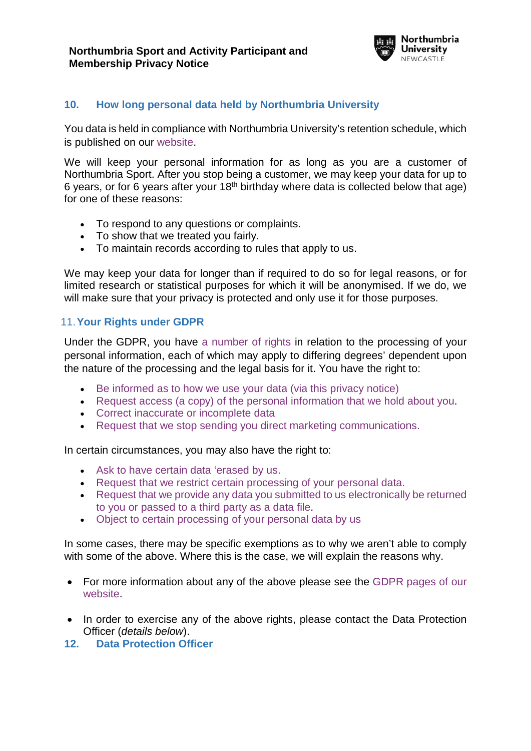

# **10. How long personal data held by Northumbria University**

You data is held in compliance with Northumbria University's [retention schedule,](https://www.northumbria.ac.uk/about-us/leadership-governance/vice-chancellors-office/legal-services-team/records-management/records-retention-schedule/) which is published on our [website.](https://www.northumbria.ac.uk/about-us/leadership-governance/vice-chancellors-office/legal-services-team/records-management/records-retention-schedule/)

We will keep your personal information for as long as you are a customer of Northumbria Sport. After you stop being a customer, we may keep your data for up to 6 years, or for 6 years after your  $18<sup>th</sup>$  birthday where data is collected below that age) for one of these reasons:

- To respond to any questions or complaints.
- To show that we treated you fairly.
- To maintain records according to rules that apply to us.

We may keep your data for longer than if required to do so for legal reasons, or for limited research or statistical purposes for which it will be anonymised. If we do, we will make sure that your privacy is protected and only use it for those purposes.

### 11.**Your Rights under GDPR**

Under the GDPR, you have [a number of rights](https://www.northumbria.ac.uk/about-us/leadership-governance/vice-chancellors-office/legal-services-team/gdpr/gdpr---rights-of-the-individual/) in relation to the processing of your personal information, each of which may apply to differing degrees' dependent upon the nature of the processing and the legal basis for it. You have the right to:

- [Be informed as to how we use your data \(via this privacy notice\)](https://www.northumbria.ac.uk/about-us/leadership-governance/vice-chancellors-office/legal-services-team/gdpr/gdpr---rights-of-the-individual/right-to-be-informed/)
- [Request access \(a copy\) of the personal information that we hold about you.](https://www.northumbria.ac.uk/about-us/leadership-governance/vice-chancellors-office/legal-services-team/gdpr/gdpr---rights-of-the-individual/right-to-subject-access/)
- [Correct inaccurate or incomplete data](https://www.northumbria.ac.uk/about-us/leadership-governance/vice-chancellors-office/legal-services-team/gdpr/gdpr---rights-of-the-individual/right-to-rectification/)
- [Request that we stop sending you direct marketing communications.](#page-2-0)

In certain circumstances, you may also have the right to:

- [Ask to have certain data 'erased by us.](https://www.northumbria.ac.uk/about-us/leadership-governance/vice-chancellors-office/legal-services-team/gdpr/gdpr---rights-of-the-individual/right-to-erasure/)
- [Request that we restrict certain processing of your personal data.](https://www.northumbria.ac.uk/about-us/leadership-governance/vice-chancellors-office/legal-services-team/gdpr/gdpr---rights-of-the-individual/right-to-restrict-processing/)
- Request that we provide any data [you submitted to us electronically be returned](https://www.northumbria.ac.uk/about-us/leadership-governance/vice-chancellors-office/legal-services-team/gdpr/gdpr---rights-of-the-individual/right-to-data-portability/)  [to you or passed to a third party as a data file.](https://www.northumbria.ac.uk/about-us/leadership-governance/vice-chancellors-office/legal-services-team/gdpr/gdpr---rights-of-the-individual/right-to-data-portability/)
- [Object to certain processing of your personal data by us](https://www.northumbria.ac.uk/about-us/leadership-governance/vice-chancellors-office/legal-services-team/gdpr/gdpr---rights-of-the-individual/right-to-object/)

In some cases, there may be specific exemptions as to why we aren't able to comply with some of the above. Where this is the case, we will explain the reasons why.

- For more information about any of the above please see the [GDPR pages of our](https://www.northumbria.ac.uk/about-us/leadership-governance/vice-chancellors-office/legal-services-team/GDPR)  [website.](https://www.northumbria.ac.uk/about-us/leadership-governance/vice-chancellors-office/legal-services-team/GDPR)
- In order to exercise any of the above rights, please contact the Data Protection Officer (*details below*).

### **12. Data Protection Officer**